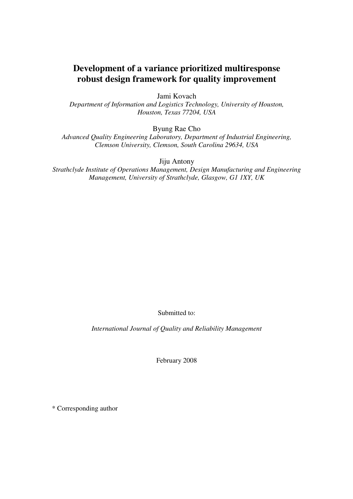# **Development of a variance prioritized multiresponse robust design framework for quality improvement**

Jami Kovach

*Department of Information and Logistics Technology, University of Houston, Houston, Texas 77204, USA* 

Byung Rae Cho

*Advanced Quality Engineering Laboratory, Department of Industrial Engineering, Clemson University, Clemson, South Carolina 29634, USA* 

Jiju Antony

*Strathclyde Institute of Operations Management, Design Manufacturing and Engineering Management, University of Strathclyde, Glasgow, G1 1XY, UK* 

Submitted to:

*International Journal of Quality and Reliability Management* 

February 2008

\* Corresponding author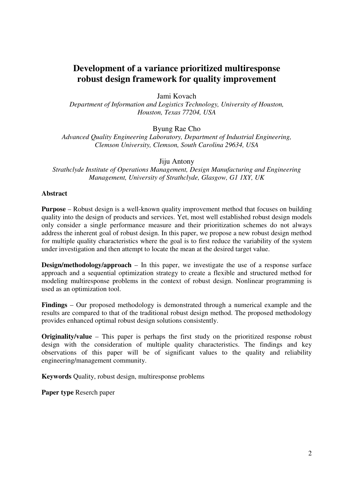# **Development of a variance prioritized multiresponse robust design framework for quality improvement**

Jami Kovach

*Department of Information and Logistics Technology, University of Houston, Houston, Texas 77204, USA* 

Byung Rae Cho

*Advanced Quality Engineering Laboratory, Department of Industrial Engineering, Clemson University, Clemson, South Carolina 29634, USA* 

Jiju Antony

*Strathclyde Institute of Operations Management, Design Manufacturing and Engineering Management, University of Strathclyde, Glasgow, G1 1XY, UK* 

#### **Abstract**

**Purpose** – Robust design is a well-known quality improvement method that focuses on building quality into the design of products and services. Yet, most well established robust design models only consider a single performance measure and their prioritization schemes do not always address the inherent goal of robust design. In this paper, we propose a new robust design method for multiple quality characteristics where the goal is to first reduce the variability of the system under investigation and then attempt to locate the mean at the desired target value.

**Design/methodology/approach** – In this paper, we investigate the use of a response surface approach and a sequential optimization strategy to create a flexible and structured method for modeling multiresponse problems in the context of robust design. Nonlinear programming is used as an optimization tool.

**Findings** – Our proposed methodology is demonstrated through a numerical example and the results are compared to that of the traditional robust design method. The proposed methodology provides enhanced optimal robust design solutions consistently.

**Originality/value** – This paper is perhaps the first study on the prioritized response robust design with the consideration of multiple quality characteristics. The findings and key observations of this paper will be of significant values to the quality and reliability engineering/management community.

**Keywords** Quality, robust design, multiresponse problems

**Paper type** Reserch paper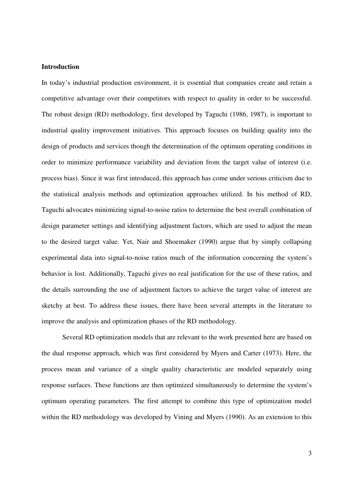#### **Introduction**

In today's industrial production environment, it is essential that companies create and retain a competitive advantage over their competitors with respect to quality in order to be successful. The robust design (RD) methodology, first developed by Taguchi (1986, 1987), is important to industrial quality improvement initiatives. This approach focuses on building quality into the design of products and services though the determination of the optimum operating conditions in order to minimize performance variability and deviation from the target value of interest (i.e. process bias). Since it was first introduced, this approach has come under serious criticism due to the statistical analysis methods and optimization approaches utilized. In his method of RD, Taguchi advocates minimizing signal-to-noise ratios to determine the best overall combination of design parameter settings and identifying adjustment factors, which are used to adjust the mean to the desired target value. Yet, Nair and Shoemaker (1990) argue that by simply collapsing experimental data into signal-to-noise ratios much of the information concerning the system's behavior is lost. Additionally, Taguchi gives no real justification for the use of these ratios, and the details surrounding the use of adjustment factors to achieve the target value of interest are sketchy at best. To address these issues, there have been several attempts in the literature to improve the analysis and optimization phases of the RD methodology.

Several RD optimization models that are relevant to the work presented here are based on the dual response approach, which was first considered by Myers and Carter (1973). Here, the process mean and variance of a single quality characteristic are modeled separately using response surfaces. These functions are then optimized simultaneously to determine the system's optimum operating parameters. The first attempt to combine this type of optimization model within the RD methodology was developed by Vining and Myers (1990). As an extension to this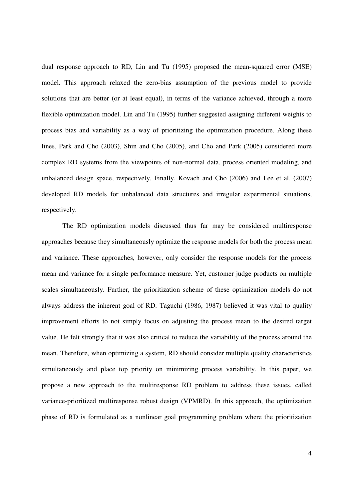dual response approach to RD, Lin and Tu (1995) proposed the mean-squared error (MSE) model. This approach relaxed the zero-bias assumption of the previous model to provide solutions that are better (or at least equal), in terms of the variance achieved, through a more flexible optimization model. Lin and Tu (1995) further suggested assigning different weights to process bias and variability as a way of prioritizing the optimization procedure. Along these lines, Park and Cho (2003), Shin and Cho (2005), and Cho and Park (2005) considered more complex RD systems from the viewpoints of non-normal data, process oriented modeling, and unbalanced design space, respectively, Finally, Kovach and Cho (2006) and Lee et al. (2007) developed RD models for unbalanced data structures and irregular experimental situations, respectively.

The RD optimization models discussed thus far may be considered multiresponse approaches because they simultaneously optimize the response models for both the process mean and variance. These approaches, however, only consider the response models for the process mean and variance for a single performance measure. Yet, customer judge products on multiple scales simultaneously. Further, the prioritization scheme of these optimization models do not always address the inherent goal of RD. Taguchi (1986, 1987) believed it was vital to quality improvement efforts to not simply focus on adjusting the process mean to the desired target value. He felt strongly that it was also critical to reduce the variability of the process around the mean. Therefore, when optimizing a system, RD should consider multiple quality characteristics simultaneously and place top priority on minimizing process variability. In this paper, we propose a new approach to the multiresponse RD problem to address these issues, called variance-prioritized multiresponse robust design (VPMRD). In this approach, the optimization phase of RD is formulated as a nonlinear goal programming problem where the prioritization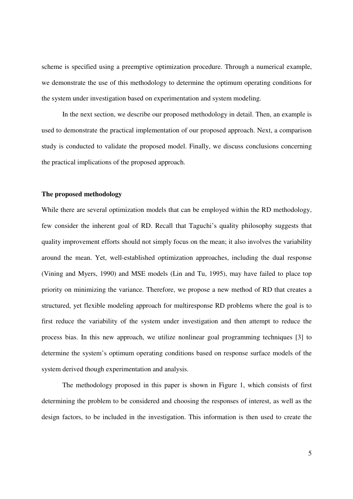scheme is specified using a preemptive optimization procedure. Through a numerical example, we demonstrate the use of this methodology to determine the optimum operating conditions for the system under investigation based on experimentation and system modeling.

In the next section, we describe our proposed methodology in detail. Then, an example is used to demonstrate the practical implementation of our proposed approach. Next, a comparison study is conducted to validate the proposed model. Finally, we discuss conclusions concerning the practical implications of the proposed approach.

#### **The proposed methodology**

While there are several optimization models that can be employed within the RD methodology, few consider the inherent goal of RD. Recall that Taguchi's quality philosophy suggests that quality improvement efforts should not simply focus on the mean; it also involves the variability around the mean. Yet, well-established optimization approaches, including the dual response (Vining and Myers, 1990) and MSE models (Lin and Tu, 1995), may have failed to place top priority on minimizing the variance. Therefore, we propose a new method of RD that creates a structured, yet flexible modeling approach for multiresponse RD problems where the goal is to first reduce the variability of the system under investigation and then attempt to reduce the process bias. In this new approach, we utilize nonlinear goal programming techniques [3] to determine the system's optimum operating conditions based on response surface models of the system derived though experimentation and analysis.

The methodology proposed in this paper is shown in Figure 1, which consists of first determining the problem to be considered and choosing the responses of interest, as well as the design factors, to be included in the investigation. This information is then used to create the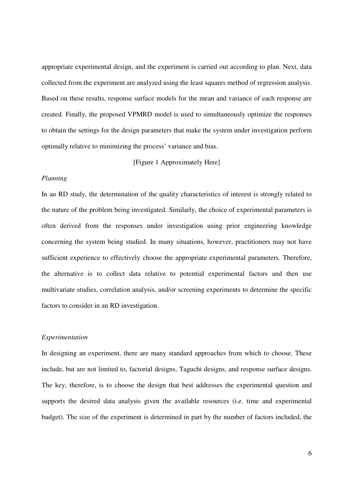appropriate experimental design, and the experiment is carried out according to plan. Next, data collected from the experiment are analyzed using the least squares method of regression analysis. Based on these results, response surface models for the mean and variance of each response are created. Finally, the proposed VPMRD model is used to simultaneously optimize the responses to obtain the settings for the design parameters that make the system under investigation perform optimally relative to minimizing the process' variance and bias.

[Figure 1 Approximately Here]

#### *Planning*

In an RD study, the determination of the quality characteristics of interest is strongly related to the nature of the problem being investigated. Similarly, the choice of experimental parameters is often derived from the responses under investigation using prior engineering knowledge concerning the system being studied. In many situations, however, practitioners may not have sufficient experience to effectively choose the appropriate experimental parameters. Therefore, the alternative is to collect data relative to potential experimental factors and then use multivariate studies, correlation analysis, and/or screening experiments to determine the specific factors to consider in an RD investigation.

#### *Experimentation*

In designing an experiment, there are many standard approaches from which to choose. These include, but are not limited to, factorial designs, Taguchi designs, and response surface designs. The key, therefore, is to choose the design that best addresses the experimental question and supports the desired data analysis given the available resources (i.e. time and experimental budget). The size of the experiment is determined in part by the number of factors included, the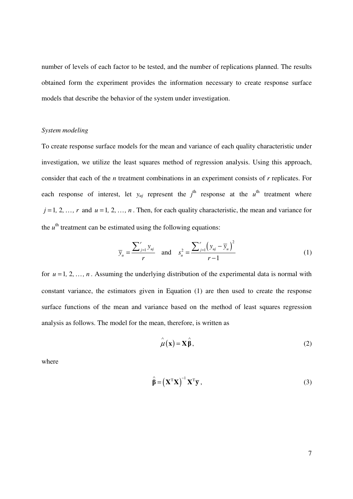number of levels of each factor to be tested, and the number of replications planned. The results obtained form the experiment provides the information necessary to create response surface models that describe the behavior of the system under investigation.

#### *System modeling*

To create response surface models for the mean and variance of each quality characteristic under investigation, we utilize the least squares method of regression analysis. Using this approach, consider that each of the *n* treatment combinations in an experiment consists of *r* replicates. For each response of interest, let  $y_{uj}$  represent the  $j^{\text{th}}$  response at the  $u^{\text{th}}$  treatment where  $j = 1, 2, ..., r$  and  $u = 1, 2, ..., n$ . Then, for each quality characteristic, the mean and variance for the  $u<sup>th</sup>$  treatment can be estimated using the following equations:

$$
\overline{y}_{u} = \frac{\sum_{j=1}^{r} y_{uj}}{r} \quad \text{and} \quad s_{u}^{2} = \frac{\sum_{j=1}^{r} (y_{uj} - \overline{y}_{u})^{2}}{r - 1}
$$
(1)

for  $u = 1, 2, ..., n$ . Assuming the underlying distribution of the experimental data is normal with constant variance, the estimators given in Equation (1) are then used to create the response surface functions of the mean and variance based on the method of least squares regression analysis as follows. The model for the mean, therefore, is written as

$$
\hat{\mu}(\mathbf{x}) = \mathbf{X}\hat{\beta},\tag{2}
$$

where

$$
\hat{\beta} = \left(\mathbf{X}^{\mathrm{T}}\mathbf{X}\right)^{-1}\mathbf{X}^{\mathrm{T}}\overline{\mathbf{y}},\tag{3}
$$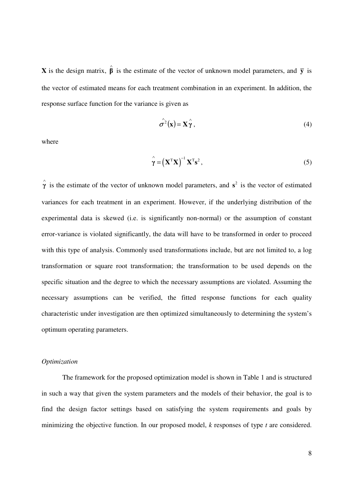**X** is the design matrix,  $\hat{\beta}$  is the estimate of the vector of unknown model parameters, and  $\bar{y}$  is the vector of estimated means for each treatment combination in an experiment. In addition, the response surface function for the variance is given as

$$
\hat{\sigma}^2(\mathbf{x}) = \mathbf{X} \hat{\gamma},\tag{4}
$$

where

$$
\hat{\mathbf{\gamma}} = \left(\mathbf{X}^{\mathrm{T}} \mathbf{X}\right)^{-1} \mathbf{X}^{\mathrm{T}} \mathbf{s}^{2},\tag{5}
$$

 $\hat{\gamma}$  is the estimate of the vector of unknown model parameters, and  $s^2$  is the vector of estimated variances for each treatment in an experiment. However, if the underlying distribution of the experimental data is skewed (i.e. is significantly non-normal) or the assumption of constant error-variance is violated significantly, the data will have to be transformed in order to proceed with this type of analysis. Commonly used transformations include, but are not limited to, a log transformation or square root transformation; the transformation to be used depends on the specific situation and the degree to which the necessary assumptions are violated. Assuming the necessary assumptions can be verified, the fitted response functions for each quality characteristic under investigation are then optimized simultaneously to determining the system's optimum operating parameters.

#### *Optimization*

The framework for the proposed optimization model is shown in Table 1 and is structured in such a way that given the system parameters and the models of their behavior, the goal is to find the design factor settings based on satisfying the system requirements and goals by minimizing the objective function. In our proposed model, *k* responses of type *t* are considered.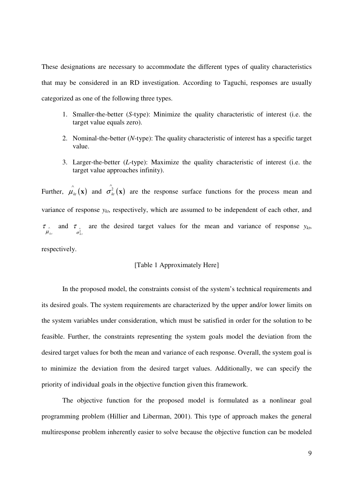These designations are necessary to accommodate the different types of quality characteristics that may be considered in an RD investigation. According to Taguchi, responses are usually categorized as one of the following three types.

- 1. Smaller-the-better (*S*-type): Minimize the quality characteristic of interest (i.e. the target value equals zero).
- 2. Nominal-the-better (*N*-type): The quality characteristic of interest has a specific target value.
- 3. Larger-the-better (*L*-type): Maximize the quality characteristic of interest (i.e. the target value approaches infinity).

Further,  $\hat{\mu}_{kt}(\mathbf{x})$  and  $\hat{\sigma}_{kt}^2(\mathbf{x})$ **x**) are the response surface functions for the process mean and variance of response  $y_{kt}$ , respectively, which are assumed to be independent of each other, and  $\mu_{\scriptscriptstyle{kt}}$  $\tau$  and  $\sigma_{k}^2$  $\tau$  are the desired target values for the mean and variance of response  $y_{kt}$ ,

respectively.

#### [Table 1 Approximately Here]

In the proposed model, the constraints consist of the system's technical requirements and its desired goals. The system requirements are characterized by the upper and/or lower limits on the system variables under consideration, which must be satisfied in order for the solution to be feasible. Further, the constraints representing the system goals model the deviation from the desired target values for both the mean and variance of each response. Overall, the system goal is to minimize the deviation from the desired target values. Additionally, we can specify the priority of individual goals in the objective function given this framework.

The objective function for the proposed model is formulated as a nonlinear goal programming problem (Hillier and Liberman, 2001). This type of approach makes the general multiresponse problem inherently easier to solve because the objective function can be modeled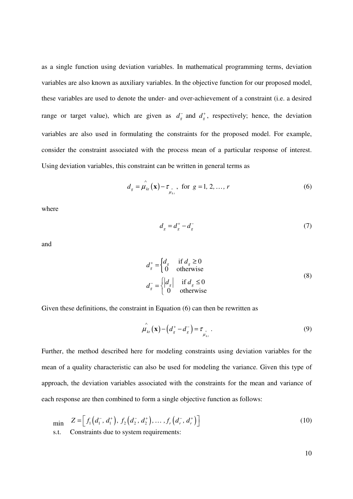as a single function using deviation variables. In mathematical programming terms, deviation variables are also known as auxiliary variables. In the objective function for our proposed model, these variables are used to denote the under- and over-achievement of a constraint (i.e. a desired range or target value), which are given as  $d_g$  and  $d_g$ , respectively; hence, the deviation variables are also used in formulating the constraints for the proposed model. For example, consider the constraint associated with the process mean of a particular response of interest. Using deviation variables, this constraint can be written in general terms as

$$
d_g = \hat{\mu_{kt}}(\mathbf{x}) - \tau_{\hat{\mu_{kt}}} \text{, for } g = 1, 2, ..., r \tag{6}
$$

where

$$
d_g = d_g^+ - d_g^- \tag{7}
$$

and

$$
d_s^+ = \begin{cases} d_g & \text{if } d_g \ge 0\\ 0 & \text{otherwise} \end{cases}
$$
  
\n
$$
d_s^- = \begin{cases} |d_s| & \text{if } d_s \le 0\\ 0 & \text{otherwise} \end{cases}
$$
 (8)

Given these definitions, the constraint in Equation (6) can then be rewritten as

$$
\hat{\mu}_{kt}(\mathbf{x}) - \left(d_s^+ - d_s^-\right) = \tau_{\hat{\mu}_{kt}}.
$$
\n(9)

Further, the method described here for modeling constraints using deviation variables for the mean of a quality characteristic can also be used for modeling the variance. Given this type of approach, the deviation variables associated with the constraints for the mean and variance of each response are then combined to form a single objective function as follows:

$$
\min_{\text{min}} \quad Z = \left[ f_1 \left( d_1^-, d_1^+ \right), f_2 \left( d_2^-, d_2^+ \right), \dots, f_r \left( d_r^-, d_r^+ \right) \right] \tag{10}
$$
\ns.t. Constraints due to system requirements:

10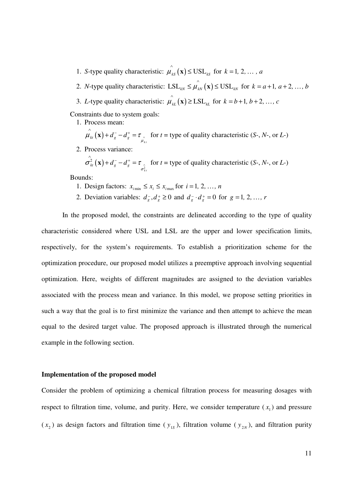- 1. *S*-type quality characteristic:  $\hat{\mu}_{ks}(\mathbf{x}) \leq \text{USL}_{ks}$  for  $k = 1, 2, ..., a$
- 2. *N*-type quality characteristic:  $LSL_{kN} \leq \hat{\mu_{kN}}(\mathbf{x}) \leq USL_{kN}$  for  $k = a+1, a+2, ..., b$
- 3. *L*-type quality characteristic:  $\hat{\mu_k}(\mathbf{x}) \geq \text{LSL}_{k}$  for  $k = b+1, b+2, ..., c$

Constraints due to system goals:

1. Process mean:

 $\hat{\mu}_{kt}(\mathbf{x}) + d_s^- - d_s^+ = \tau_{\hat{\mu}_{kt}}$  for  $t =$  type of quality characteristic (*S*-, *N*-, or *L*-)

2. Process variance:

 $(\mathbf{x}) + d_s^- - d_s^+ = \tau$ 2  $\hat{\sigma}_{kt}^{2}(\mathbf{x}) + d_{g}^{-} - d_{g}^{+} = \tau_{\hat{\sigma}_{kt}^{2}}$  for  $t =$  type of quality characteristic (*S*-, *N*-, or *L*-)

Bounds:

- 1. Design factors:  $x_{i_{\text{min}}} \le x_i \le x_{i_{\text{max}}}$  for  $i = 1, 2, ..., n$
- 2. Deviation variables:  $d_g$ ,  $d_g$  ≥ 0 and  $d_g$  ·  $d_g$  = 0 for  $g$  = 1, 2, ..., *r*

In the proposed model, the constraints are delineated according to the type of quality characteristic considered where USL and LSL are the upper and lower specification limits, respectively, for the system's requirements. To establish a prioritization scheme for the optimization procedure, our proposed model utilizes a preemptive approach involving sequential optimization. Here, weights of different magnitudes are assigned to the deviation variables associated with the process mean and variance. In this model, we propose setting priorities in such a way that the goal is to first minimize the variance and then attempt to achieve the mean equal to the desired target value. The proposed approach is illustrated through the numerical example in the following section.

#### **Implementation of the proposed model**

Consider the problem of optimizing a chemical filtration process for measuring dosages with respect to filtration time, volume, and purity. Here, we consider temperature  $(x<sub>1</sub>)$  and pressure  $(x_2)$  as design factors and filtration time ( $y_{1s}$ ), filtration volume ( $y_{2N}$ ), and filtration purity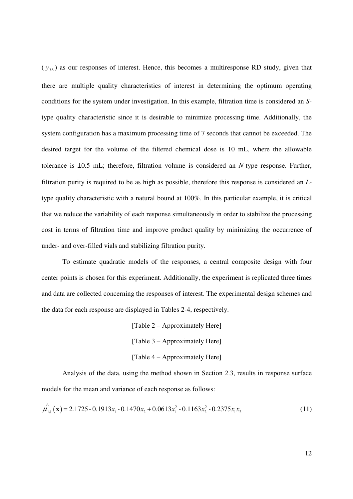$(y_{3L})$  as our responses of interest. Hence, this becomes a multiresponse RD study, given that there are multiple quality characteristics of interest in determining the optimum operating conditions for the system under investigation. In this example, filtration time is considered an *S*type quality characteristic since it is desirable to minimize processing time. Additionally, the system configuration has a maximum processing time of 7 seconds that cannot be exceeded. The desired target for the volume of the filtered chemical dose is 10 mL, where the allowable tolerance is ±0.5 mL; therefore, filtration volume is considered an *N*-type response. Further, filtration purity is required to be as high as possible, therefore this response is considered an *L*type quality characteristic with a natural bound at 100%. In this particular example, it is critical that we reduce the variability of each response simultaneously in order to stabilize the processing cost in terms of filtration time and improve product quality by minimizing the occurrence of under- and over-filled vials and stabilizing filtration purity.

 To estimate quadratic models of the responses, a central composite design with four center points is chosen for this experiment. Additionally, the experiment is replicated three times and data are collected concerning the responses of interest. The experimental design schemes and the data for each response are displayed in Tables 2-4, respectively.

> [Table 2 – Approximately Here] [Table 3 – Approximately Here] [Table 4 – Approximately Here]

 Analysis of the data, using the method shown in Section 2.3, results in response surface models for the mean and variance of each response as follows:

$$
\hat{\mu_{1S}}\left(\mathbf{x}\right) = 2.1725 - 0.1913x_1 - 0.1470x_2 + 0.0613x_1^2 - 0.1163x_2^2 - 0.2375x_1x_2\tag{11}
$$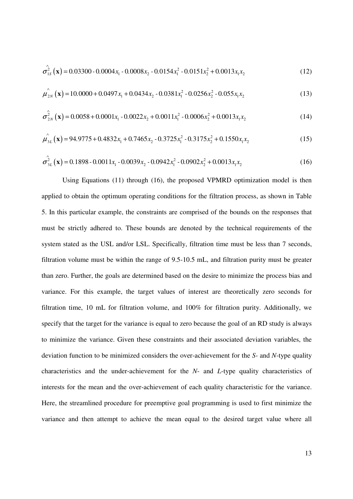$$
\hat{\sigma_{1S}}^{2}(\mathbf{x}) = 0.03300 - 0.0004 x_{1} - 0.0008 x_{2} - 0.0154 x_{1}^{2} - 0.0151 x_{2}^{2} + 0.0013 x_{1} x_{2}
$$
\n(12)

$$
\hat{\mu_{2N}}\left(\mathbf{x}\right) = 10.0000 + 0.0497x_1 + 0.0434x_2 - 0.0381x_1^2 - 0.0256x_2^2 - 0.055x_1x_2\tag{13}
$$

$$
\hat{\sigma}_{2N}^{2}(\mathbf{x}) = 0.0058 + 0.0001x_{1} - 0.0022x_{2} + 0.0011x_{1}^{2} - 0.0006x_{2}^{2} + 0.0013x_{1}x_{2}
$$
\n(14)

$$
\hat{\mu}_{3L}^{\hat{}}(\mathbf{x}) = 94.9775 + 0.4832x_1 + 0.7465x_2 - 0.3725x_1^2 - 0.3175x_2^2 + 0.1550x_1x_2 \tag{15}
$$

$$
\hat{\sigma}_{3L}^2(\mathbf{x}) = 0.1898 - 0.0011x_1 - 0.0039x_2 - 0.0942x_1^2 - 0.0902x_2^2 + 0.0013x_1x_2 \tag{16}
$$

 Using Equations (11) through (16), the proposed VPMRD optimization model is then applied to obtain the optimum operating conditions for the filtration process, as shown in Table 5. In this particular example, the constraints are comprised of the bounds on the responses that must be strictly adhered to. These bounds are denoted by the technical requirements of the system stated as the USL and/or LSL. Specifically, filtration time must be less than 7 seconds, filtration volume must be within the range of 9.5-10.5 mL, and filtration purity must be greater than zero. Further, the goals are determined based on the desire to minimize the process bias and variance. For this example, the target values of interest are theoretically zero seconds for filtration time, 10 mL for filtration volume, and 100% for filtration purity. Additionally, we specify that the target for the variance is equal to zero because the goal of an RD study is always to minimize the variance. Given these constraints and their associated deviation variables, the deviation function to be minimized considers the over-achievement for the *S*- and *N*-type quality characteristics and the under-achievement for the *N*- and *L*-type quality characteristics of interests for the mean and the over-achievement of each quality characteristic for the variance. Here, the streamlined procedure for preemptive goal programming is used to first minimize the variance and then attempt to achieve the mean equal to the desired target value where all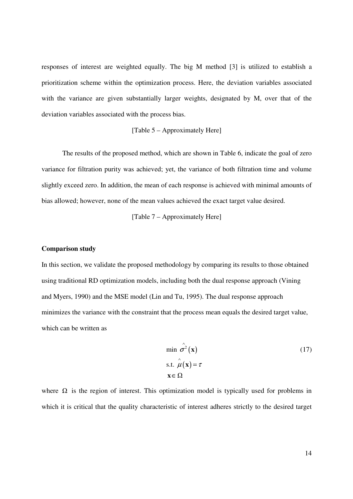responses of interest are weighted equally. The big M method [3] is utilized to establish a prioritization scheme within the optimization process. Here, the deviation variables associated with the variance are given substantially larger weights, designated by M, over that of the deviation variables associated with the process bias.

#### [Table 5 – Approximately Here]

The results of the proposed method, which are shown in Table 6, indicate the goal of zero variance for filtration purity was achieved; yet, the variance of both filtration time and volume slightly exceed zero. In addition, the mean of each response is achieved with minimal amounts of bias allowed; however, none of the mean values achieved the exact target value desired.

[Table 7 – Approximately Here]

#### **Comparison study**

In this section, we validate the proposed methodology by comparing its results to those obtained using traditional RD optimization models, including both the dual response approach (Vining and Myers, 1990) and the MSE model (Lin and Tu, 1995). The dual response approach minimizes the variance with the constraint that the process mean equals the desired target value, which can be written as

$$
\min \hat{\sigma}^2(\mathbf{x})
$$
  
s.t.  $\hat{\mu}(\mathbf{x}) = \tau$   
 $\mathbf{x} \in \Omega$  (17)

where  $\Omega$  is the region of interest. This optimization model is typically used for problems in which it is critical that the quality characteristic of interest adheres strictly to the desired target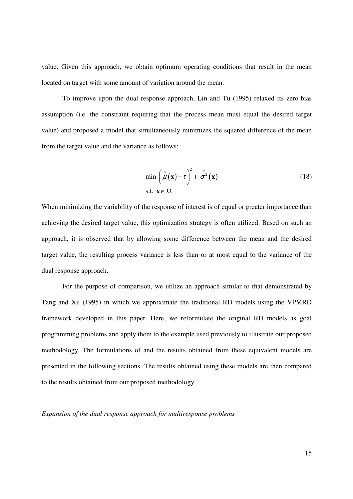value. Given this approach, we obtain optimum operating conditions that result in the mean located on target with some amount of variation around the mean.

To improve upon the dual response approach, Lin and Tu (1995) relaxed its zero-bias assumption (i.e. the constraint requiring that the process mean must equal the desired target value) and proposed a model that simultaneously minimizes the squared difference of the mean from the target value and the variance as follows:

$$
\min\left(\hat{\mu}(\mathbf{x}) - \tau\right)^2 + \hat{\sigma}^2(\mathbf{x})
$$
\ns.t.

\n
$$
\mathbf{x} \in \Omega
$$
\n(18)

When minimizing the variability of the response of interest is of equal or greater importance than achieving the desired target value, this optimization strategy is often utilized. Based on such an approach, it is observed that by allowing some difference between the mean and the desired target value, the resulting process variance is less than or at most equal to the variance of the dual response approach.

For the purpose of comparison, we utilize an approach similar to that demonstrated by Tang and Xu (1995) in which we approximate the traditional RD models using the VPMRD framework developed in this paper. Here, we reformulate the original RD models as goal programming problems and apply them to the example used previously to illustrate our proposed methodology. The formulations of and the results obtained from these equivalent models are presented in the following sections. The results obtained using these models are then compared to the results obtained from our proposed methodology.

*Expansion of the dual response approach for multiresponse problems*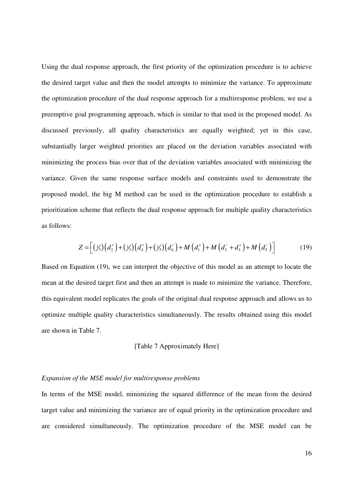Using the dual response approach, the first priority of the optimization procedure is to achieve the desired target value and then the model attempts to minimize the variance. To approximate the optimization procedure of the dual response approach for a multiresponse problem, we use a preemptive goal programming approach, which is similar to that used in the proposed model. As discussed previously, all quality characteristics are equally weighted; yet in this case, substantially larger weighted priorities are placed on the deviation variables associated with minimizing the process bias over that of the deviation variables associated with minimizing the variance. Given the same response surface models and constraints used to demonstrate the proposed model, the big M method can be used in the optimization procedure to establish a prioritization scheme that reflects the dual response approach for multiple quality characteristics as follows:

$$
Z = \left[ \left( \frac{1}{3} \right) \left( d_2^+ \right) + \left( \frac{1}{3} \right) \left( d_4^+ \right) + \left( \frac{1}{3} \right) \left( d_6^- \right) + M \left( d_1^+ \right) + M \left( d_3^- + d_3^+ \right) + M \left( d_5^- \right) \right] \tag{19}
$$

Based on Equation (19), we can interpret the objective of this model as an attempt to locate the mean at the desired target first and then an attempt is made to minimize the variance. Therefore, this equivalent model replicates the goals of the original dual response approach and allows us to optimize multiple quality characteristics simultaneously. The results obtained using this model are shown in Table 7.

#### [Table 7 Approximately Here]

#### *Expansion of the MSE model for multiresponse problems*

In terms of the MSE model, minimizing the squared difference of the mean from the desired target value and minimizing the variance are of equal priority in the optimization procedure and are considered simultaneously. The optimization procedure of the MSE model can be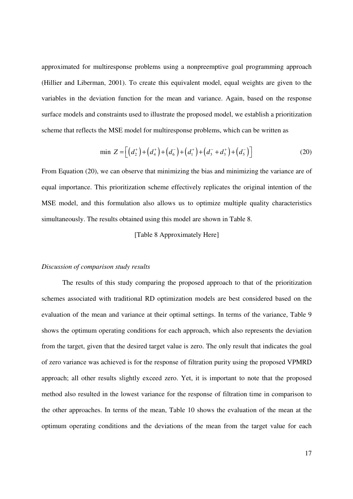approximated for multiresponse problems using a nonpreemptive goal programming approach (Hillier and Liberman, 2001). To create this equivalent model, equal weights are given to the variables in the deviation function for the mean and variance. Again, based on the response surface models and constraints used to illustrate the proposed model, we establish a prioritization scheme that reflects the MSE model for multiresponse problems, which can be written as

$$
\min Z = \left[ \left( d_2^+ \right) + \left( d_4^+ \right) + \left( d_6^- \right) + \left( d_1^+ \right) + \left( d_3^- + d_3^+ \right) + \left( d_5^- \right) \right] \tag{20}
$$

From Equation (20), we can observe that minimizing the bias and minimizing the variance are of equal importance. This prioritization scheme effectively replicates the original intention of the MSE model, and this formulation also allows us to optimize multiple quality characteristics simultaneously. The results obtained using this model are shown in Table 8.

#### [Table 8 Approximately Here]

#### *Discussion of comparison study results*

The results of this study comparing the proposed approach to that of the prioritization schemes associated with traditional RD optimization models are best considered based on the evaluation of the mean and variance at their optimal settings. In terms of the variance, Table 9 shows the optimum operating conditions for each approach, which also represents the deviation from the target, given that the desired target value is zero. The only result that indicates the goal of zero variance was achieved is for the response of filtration purity using the proposed VPMRD approach; all other results slightly exceed zero. Yet, it is important to note that the proposed method also resulted in the lowest variance for the response of filtration time in comparison to the other approaches. In terms of the mean, Table 10 shows the evaluation of the mean at the optimum operating conditions and the deviations of the mean from the target value for each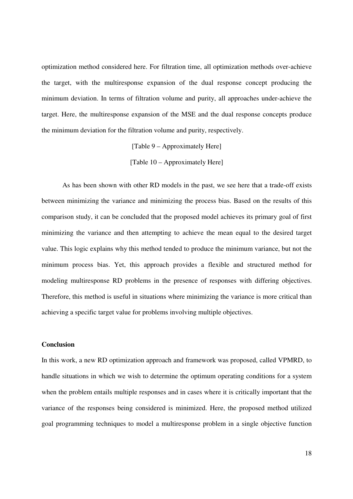optimization method considered here. For filtration time, all optimization methods over-achieve the target, with the multiresponse expansion of the dual response concept producing the minimum deviation. In terms of filtration volume and purity, all approaches under-achieve the target. Here, the multiresponse expansion of the MSE and the dual response concepts produce the minimum deviation for the filtration volume and purity, respectively.

# [Table 9 – Approximately Here] [Table 10 – Approximately Here]

 As has been shown with other RD models in the past, we see here that a trade-off exists between minimizing the variance and minimizing the process bias. Based on the results of this comparison study, it can be concluded that the proposed model achieves its primary goal of first minimizing the variance and then attempting to achieve the mean equal to the desired target value. This logic explains why this method tended to produce the minimum variance, but not the minimum process bias. Yet, this approach provides a flexible and structured method for modeling multiresponse RD problems in the presence of responses with differing objectives. Therefore, this method is useful in situations where minimizing the variance is more critical than achieving a specific target value for problems involving multiple objectives.

#### **Conclusion**

In this work, a new RD optimization approach and framework was proposed, called VPMRD, to handle situations in which we wish to determine the optimum operating conditions for a system when the problem entails multiple responses and in cases where it is critically important that the variance of the responses being considered is minimized. Here, the proposed method utilized goal programming techniques to model a multiresponse problem in a single objective function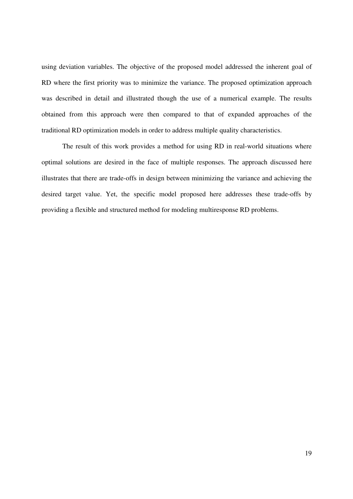using deviation variables. The objective of the proposed model addressed the inherent goal of RD where the first priority was to minimize the variance. The proposed optimization approach was described in detail and illustrated though the use of a numerical example. The results obtained from this approach were then compared to that of expanded approaches of the traditional RD optimization models in order to address multiple quality characteristics.

 The result of this work provides a method for using RD in real-world situations where optimal solutions are desired in the face of multiple responses. The approach discussed here illustrates that there are trade-offs in design between minimizing the variance and achieving the desired target value. Yet, the specific model proposed here addresses these trade-offs by providing a flexible and structured method for modeling multiresponse RD problems.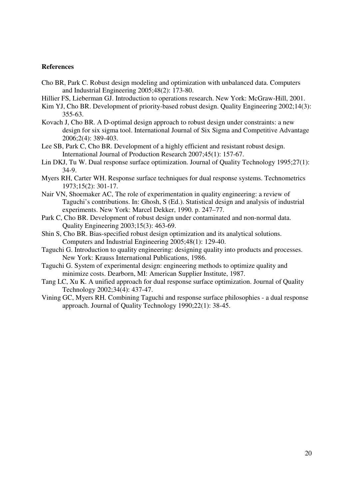#### **References**

- Cho BR, Park C. Robust design modeling and optimization with unbalanced data. Computers and Industrial Engineering 2005;48(2): 173-80.
- Hillier FS, Lieberman GJ. Introduction to operations research. New York: McGraw-Hill, 2001.
- Kim YJ, Cho BR. Development of priority-based robust design. Quality Engineering 2002;14(3): 355-63.
- Kovach J, Cho BR. A D-optimal design approach to robust design under constraints: a new design for six sigma tool. International Journal of Six Sigma and Competitive Advantage 2006;2(4): 389-403.
- Lee SB, Park C, Cho BR. Development of a highly efficient and resistant robust design. International Journal of Production Research 2007;45(1): 157-67.
- Lin DKJ, Tu W. Dual response surface optimization. Journal of Quality Technology 1995;27(1): 34-9.
- Myers RH, Carter WH. Response surface techniques for dual response systems. Technometrics 1973;15(2): 301-17.
- Nair VN, Shoemaker AC, The role of experimentation in quality engineering: a review of Taguchi's contributions. In: Ghosh, S (Ed.). Statistical design and analysis of industrial experiments. New York: Marcel Dekker, 1990. p. 247–77.
- Park C, Cho BR. Development of robust design under contaminated and non-normal data. Quality Engineering 2003;15(3): 463-69.
- Shin S, Cho BR. Bias-specified robust design optimization and its analytical solutions. Computers and Industrial Engineering 2005;48(1): 129-40.
- Taguchi G. Introduction to quality engineering: designing quality into products and processes. New York: Krauss International Publications, 1986.
- Taguchi G. System of experimental design: engineering methods to optimize quality and minimize costs. Dearborn, MI: American Supplier Institute, 1987.
- Tang LC, Xu K. A unified approach for dual response surface optimization. Journal of Quality Technology 2002;34(4): 437-47.
- Vining GC, Myers RH. Combining Taguchi and response surface philosophies a dual response approach. Journal of Quality Technology 1990;22(1): 38-45.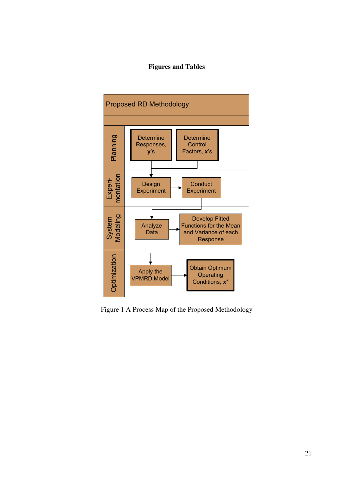# **Figures and Tables**



Figure 1 A Process Map of the Proposed Methodology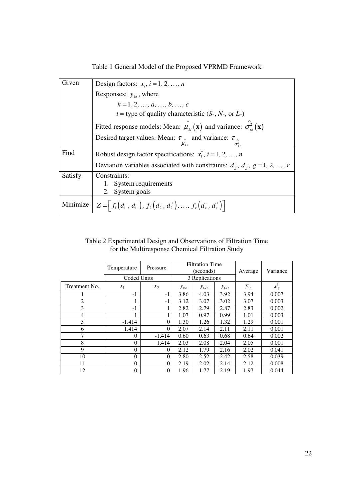Table 1 General Model of the Proposed VPRMD Framework

| Given    | Design factors: $x_i$ , $i = 1, 2, , n$                                                                                        |
|----------|--------------------------------------------------------------------------------------------------------------------------------|
|          | Responses: $y_{kt}$ , where                                                                                                    |
|          | $k = 1, 2, , a, , b, , c$                                                                                                      |
|          | $t =$ type of quality characteristic (S-, N-, or L-)                                                                           |
|          | Fitted response models: Mean: $\hat{\mu}_{kt}(\mathbf{x})$ and variance: $\hat{\sigma}_{kt}^2(\mathbf{x})$                     |
|          | Desired target values: Mean: $\tau_{\alpha}$ and variance: $\tau_{\alpha}$<br>$\sigma_{k}^{2}$<br>$\mu_{\scriptscriptstyle k}$ |
| Find     | Robust design factor specifications: $x_i^*$ , $i = 1, 2, , n$                                                                 |
|          | Deviation variables associated with constraints: $d_{\rho}^{-}$ , $d_{\rho}^{+}$ , $g = 1, 2, , r$                             |
| Satisfy  | Constraints:                                                                                                                   |
|          | 1. System requirements                                                                                                         |
|          | 2. System goals                                                                                                                |
| Minimize | $Z = \left[ f_1\left(d_1^-, d_1^+\right), f_2\left(d_2^-, d_2^+\right), \ldots, f_r\left(d_r^-, d_r^+\right) \right]$          |

# Table 2 Experimental Design and Observations of Filtration Time for the Multiresponse Chemical Filtration Study

|                | Temperature        | Pressure | <b>Filtration Time</b><br>(seconds) |           | Average   | Variance            |            |
|----------------|--------------------|----------|-------------------------------------|-----------|-----------|---------------------|------------|
|                | <b>Coded Units</b> |          | 3 Replications                      |           |           |                     |            |
| Treatment No.  | $x_1$              | $x_2$    | $y_{1S1}$                           | $y_{152}$ | $y_{1S3}$ | $\overline{y}_{1S}$ | $s_{1S}^2$ |
|                | $-1$               | -1       | 3.86                                | 4.03      | 3.92      | 3.94                | 0.007      |
| $\overline{2}$ | 1                  | $-1$     | 3.12                                | 3.07      | 3.02      | 3.07                | 0.003      |
| 3              | $-1$               |          | 2.82                                | 2.79      | 2.87      | 2.83                | 0.002      |
| $\overline{4}$ | 1                  |          | 1.07                                | 0.97      | 0.99      | 1.01                | 0.003      |
| 5              | $-1.414$           | $\Omega$ | 1.30                                | 1.26      | 1.32      | 1.29                | 0.001      |
| 6              | 1.414              | $\theta$ | 2.07                                | 2.14      | 2.11      | 2.11                | 0.001      |
| 7              | 0                  | $-1.414$ | 0.60                                | 0.63      | 0.68      | 0.64                | 0.002      |
| 8              | $\theta$           | 1.414    | 2.03                                | 2.08      | 2.04      | 2.05                | 0.001      |
| $\mathbf Q$    | 0                  | $\theta$ | 2.12                                | 1.79      | 2.16      | 2.02                | 0.041      |
| 10             | 0                  | $\theta$ | 2.80                                | 2.52      | 2.42      | 2.58                | 0.039      |
| 11             | 0                  | $\theta$ | 2.19                                | 2.02      | 2.14      | 2.12                | 0.008      |
| 12             | $\overline{0}$     | $\theta$ | 1.96                                | 1.77      | 2.19      | 1.97                | 0.044      |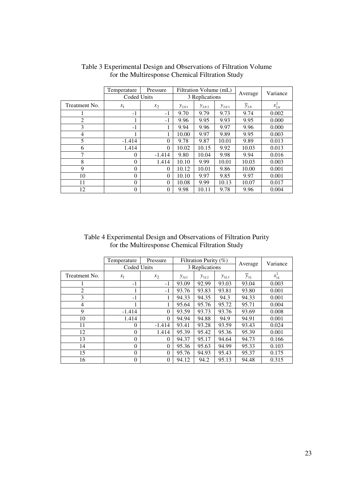|                | Temperature | Pressure       | Filtration Volume (mL) |                | Average   | Variance |            |
|----------------|-------------|----------------|------------------------|----------------|-----------|----------|------------|
|                |             | Coded Units    |                        | 3 Replications |           |          |            |
| Treatment No.  | $x_1$       | $x_2$          | $y_{2N1}$              | $y_{2N2}$      | $y_{2N3}$ | $y_{2N}$ | $s_{2N}^2$ |
|                | $-1$        | $-1$           | 9.70                   | 9.79           | 9.73      | 9.74     | 0.002      |
| $\overline{2}$ | 1           | $-1$           | 9.96                   | 9.95           | 9.93      | 9.95     | 0.000      |
| 3              | $-1$        |                | 9.94                   | 9.96           | 9.97      | 9.96     | 0.000      |
| 4              |             |                | 10.00                  | 9.97           | 9.89      | 9.95     | 0.003      |
| 5              | $-1.414$    | $\theta$       | 9.78                   | 9.87           | 10.01     | 9.89     | 0.013      |
| 6              | 1.414       | $\Omega$       | 10.02                  | 10.15          | 9.92      | 10.03    | 0.013      |
| 7              | $\theta$    | $-1.414$       | 9.80                   | 10.04          | 9.98      | 9.94     | 0.016      |
| 8              | 0           | 1.414          | 10.10                  | 9.99           | 10.01     | 10.03    | 0.003      |
| $\mathbf Q$    | $\theta$    | $\Omega$       | 10.12                  | 10.01          | 9.86      | 10.00    | 0.001      |
| 10             | $\theta$    | $\theta$       | 10.10                  | 9.97           | 9.85      | 9.97     | 0.001      |
| 11             | $\theta$    | $\theta$       | 10.08                  | 9.99           | 10.13     | 10.07    | 0.017      |
| 12             | $\theta$    | $\overline{0}$ | 9.98                   | 10.11          | 9.78      | 9.96     | 0.004      |

## Table 3 Experimental Design and Observations of Filtration Volume for the Multiresponse Chemical Filtration Study

Table 4 Experimental Design and Observations of Filtration Purity for the Multiresponse Chemical Filtration Study

|                | Temperature<br>Coded Units | Pressure       | Filtration Purity $(\%)$<br>3 Replications |           | Average   | Variance            |            |
|----------------|----------------------------|----------------|--------------------------------------------|-----------|-----------|---------------------|------------|
| Treatment No.  | $x_1$                      | $x_2$          | $y_{3L1}$                                  | $y_{3L2}$ | $y_{3L3}$ | $\overline{y}_{3L}$ | $s_{3L}^2$ |
|                | $-1$                       | $-1$           | 93.09                                      | 92.99     | 93.03     | 93.04               | 0.003      |
| $\overline{2}$ |                            | $-1$           | 93.76                                      | 93.83     | 93.81     | 93.80               | 0.001      |
| 3              | $-1$                       | 1              | 94.33                                      | 94.35     | 94.3      | 94.33               | 0.001      |
| $\overline{4}$ |                            | 1              | 95.64                                      | 95.76     | 95.72     | 95.71               | 0.004      |
| 9              | $-1.414$                   | $\theta$       | 93.59                                      | 93.73     | 93.76     | 93.69               | 0.008      |
| 10             | 1.414                      | $\theta$       | 94.94                                      | 94.88     | 94.9      | 94.91               | 0.001      |
| 11             | $\Omega$                   | $-1.414$       | 93.41                                      | 93.28     | 93.59     | 93.43               | 0.024      |
| 12             | $\Omega$                   | 1.414          | 95.39                                      | 95.42     | 95.36     | 95.39               | 0.001      |
| 13             | $\Omega$                   | $\theta$       | 94.37                                      | 95.17     | 94.64     | 94.73               | 0.166      |
| 14             | $\theta$                   | $\theta$       | 95.36                                      | 95.63     | 94.99     | 95.33               | 0.103      |
| 15             | $\Omega$                   | $\theta$       | 95.76                                      | 94.93     | 95.43     | 95.37               | 0.175      |
| 16             | $\theta$                   | $\overline{0}$ | 94.12                                      | 94.2      | 95.13     | 94.48               | 0.315      |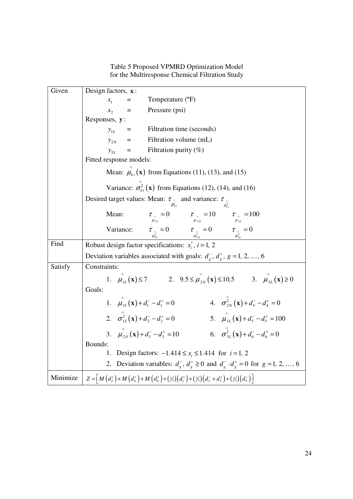Table 5 Proposed VPMRD Optimization Model for the Multiresponse Chemical Filtration Study

| Given    | Design factors, x:                                                                                                                                                                                                                  |  |  |  |  |  |  |  |
|----------|-------------------------------------------------------------------------------------------------------------------------------------------------------------------------------------------------------------------------------------|--|--|--|--|--|--|--|
|          | Temperature (°F)<br>$\mathcal{X}_1$<br>ᆖ                                                                                                                                                                                            |  |  |  |  |  |  |  |
|          | $x_{2}$<br>Pressure (psi)<br>$\equiv$                                                                                                                                                                                               |  |  |  |  |  |  |  |
|          | Responses, y:                                                                                                                                                                                                                       |  |  |  |  |  |  |  |
|          | Filtration time (seconds)<br>$y_{1s}$ =                                                                                                                                                                                             |  |  |  |  |  |  |  |
|          | $y_{2N}$<br>Filtration volume (mL)                                                                                                                                                                                                  |  |  |  |  |  |  |  |
|          | Filtration purity $(\%)$<br>$y_{3L}$                                                                                                                                                                                                |  |  |  |  |  |  |  |
|          | Fitted response models:                                                                                                                                                                                                             |  |  |  |  |  |  |  |
|          | Mean: $\hat{\mu}_{kt}(\mathbf{x})$ from Equations (11), (13), and (15)                                                                                                                                                              |  |  |  |  |  |  |  |
|          | Variance: $\sigma_{kt}^2(\mathbf{x})$ from Equations (12), (14), and (16)                                                                                                                                                           |  |  |  |  |  |  |  |
|          | Desired target values: Mean: $\tau_{\hat{\mu}_{i}}$ and variance: $\tau_{\hat{\sigma}_{ki}^2}$                                                                                                                                      |  |  |  |  |  |  |  |
|          | $\tau_{\hat{\mu}_{1s}} = 0$ $\tau_{\hat{\mu}_{2N}} = 10$ $\tau_{\hat{\mu}_{3L}} = 100$<br>Mean:                                                                                                                                     |  |  |  |  |  |  |  |
|          | $\tau_{\alpha} = 0$ $\tau_{\alpha} = 0$ $\tau_{\alpha} = 0$ $\tau_{\alpha} = 0$<br>Variance:                                                                                                                                        |  |  |  |  |  |  |  |
| Find     | Robust design factor specifications: $x_i^*$ , $i = 1, 2$                                                                                                                                                                           |  |  |  |  |  |  |  |
|          | Deviation variables associated with goals: $d_g^-, d_g^+, g = 1, 2, , 6$                                                                                                                                                            |  |  |  |  |  |  |  |
| Satisfy  | Constraints:                                                                                                                                                                                                                        |  |  |  |  |  |  |  |
|          | 1. $\hat{\mu}_{1S}(\mathbf{x}) \le 7$ 2. $9.5 \le \hat{\mu}_{2N}(\mathbf{x}) \le 10.5$ 3. $\hat{\mu}_{3L}(\mathbf{x}) \ge 0$                                                                                                        |  |  |  |  |  |  |  |
|          | Goals:                                                                                                                                                                                                                              |  |  |  |  |  |  |  |
|          | 4. $\sigma_{2N}^{2}(\mathbf{x})+d_{4}^{-}-d_{4}^{+}=0$<br>1. $\mu_{1s}^{\hat{}}(\mathbf{x}) + d_1^- - d_1^+ = 0$                                                                                                                    |  |  |  |  |  |  |  |
|          | 2. $\hat{\sigma}_{1s}^2(\mathbf{x}) + d_2^2 - d_2^2 = 0$<br>5. $\mu_{3L}^2(\mathbf{x}) + d_5^2 - d_5^2 = 100$                                                                                                                       |  |  |  |  |  |  |  |
|          | 3. $\mu_{2N}(\mathbf{x}) + d_3^- - d_3^+ = 10$<br>6. $\hat{\sigma}_{3I}^2(\mathbf{x}) + d_6^2 - d_6^2 = 0$                                                                                                                          |  |  |  |  |  |  |  |
|          | Bounds:                                                                                                                                                                                                                             |  |  |  |  |  |  |  |
|          | Design factors: $-1.414 \le x_i \le 1.414$ for $i = 1, 2$<br>1.                                                                                                                                                                     |  |  |  |  |  |  |  |
|          | 2. Deviation variables: $d_g$ , $d_g^+ \ge 0$ and $d_g^- \cdot d_g^+ = 0$ for $g = 1, 2, , 6$                                                                                                                                       |  |  |  |  |  |  |  |
| Minimize | $Z = \left[ M\left(d_2^+\right) + M\left(d_4^+\right) + M\left(d_6^+\right) + \left(\frac{1}{3}\right)\left(d_1^+\right) + \left(\frac{1}{3}\right)\left(d_3^- + d_3^+\right) + \left(\frac{1}{3}\right)\left(d_5^-\right) \right]$ |  |  |  |  |  |  |  |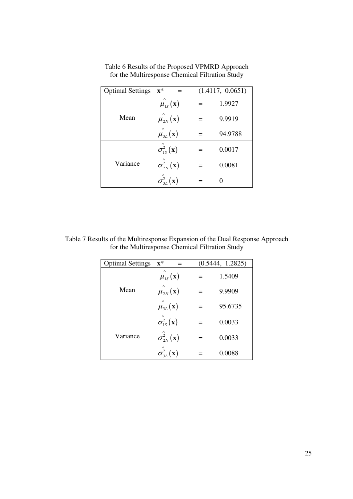| <b>Optimal Settings</b> | $\mathbf{x}^*$                                | (1.4117, 0.0651) |
|-------------------------|-----------------------------------------------|------------------|
|                         | $\hat{\mu}_{1s}^{(x)}$                        | 1.9927           |
| Mean                    | $\hat{\mu_{2N}}(\mathbf{x})$                  | 9.9919           |
|                         | $\hat{\mu}_{3L}^{(x)}(x)$                     | 94.9788          |
|                         | $\hat{\sigma_{1s}^2}(\mathbf{x})$             | 0.0017           |
| Variance                | $\hat{\sigma_{2N}^2}(\mathbf{x})$             | 0.0081           |
|                         | $\overset{\wedge}{{\sigma^2_{3L} }}({\bf x})$ |                  |

Table 6 Results of the Proposed VPMRD Approach for the Multiresponse Chemical Filtration Study

Table 7 Results of the Multiresponse Expansion of the Dual Response Approach for the Multiresponse Chemical Filtration Study

| <b>Optimal Settings</b> | $\mathbf{x}^*$                     | (0.5444, 1.2825) |
|-------------------------|------------------------------------|------------------|
|                         | $\hat{\mu}_{1s}^{(x)}(x)$          | 1.5409           |
| Mean                    | $\mu_{2N}^{^{\wedge}}(\mathbf{x})$ | 9.9909           |
|                         | $\hat{\mu}_{3L}^{(x)}(x)$          | 95.6735          |
|                         | $\hat{\sigma_{1s}^2}(\mathbf{x})$  | 0.0033           |
| Variance                | $\sigma_{2N}^2(\mathbf{x})$        | 0.0033           |
|                         | $\hat{\sigma^2_{3L}}({\bf x})$     | 0.0088           |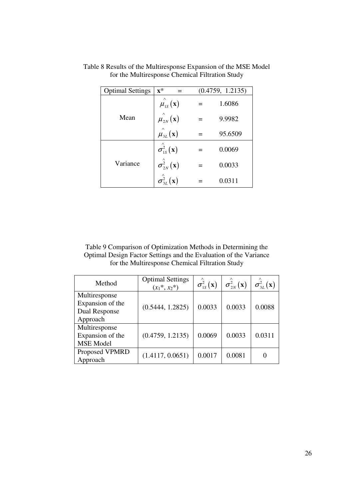| <b>Optimal Settings</b> | $\mathbf{x}^*$                        | (0.4759, 1.2135) |
|-------------------------|---------------------------------------|------------------|
|                         | $\hat{\mu}_{1s}^{(x)}$ (x)            | 1.6086           |
| Mean                    | $\mu_{2N}^{^{\wedge}}(\mathbf{x})$    | 9.9982           |
|                         | $\hat{\mu}_{3L}^{(x)}(x)$             | 95.6509          |
|                         | $\hat{\sigma_{\rm 1S}^2}(\mathbf{x})$ | 0.0069           |
| Variance                | $\hat{\sigma_{2N}^2}(\mathbf{x})$     | 0.0033           |
|                         | $\hat{\sigma^2_{3L}}({\bf x})$        | 0.0311           |

Table 8 Results of the Multiresponse Expansion of the MSE Model for the Multiresponse Chemical Filtration Study

Table 9 Comparison of Optimization Methods in Determining the Optimal Design Factor Settings and the Evaluation of the Variance for the Multiresponse Chemical Filtration Study

| Method                                                | <b>Optimal Settings</b><br>$(x_1^*, x_2^*)$ | $\sigma_{1s}^2(\mathbf{x})$ | $\sigma_{2N}^2(\mathbf{x})$ | $\sigma_{3I}^2(\mathbf{x})$ |  |
|-------------------------------------------------------|---------------------------------------------|-----------------------------|-----------------------------|-----------------------------|--|
| Multiresponse<br>Expansion of the                     |                                             |                             |                             |                             |  |
| Dual Response<br>Approach                             | (0.5444, 1.2825)                            | 0.0033                      | 0.0033                      | 0.0088                      |  |
| Multiresponse<br>Expansion of the<br><b>MSE</b> Model | (0.4759, 1.2135)                            | 0.0069                      | 0.0033                      | 0.0311                      |  |
| Proposed VPMRD<br>Approach                            | (1.4117, 0.0651)                            | 0.0017                      | 0.0081                      |                             |  |